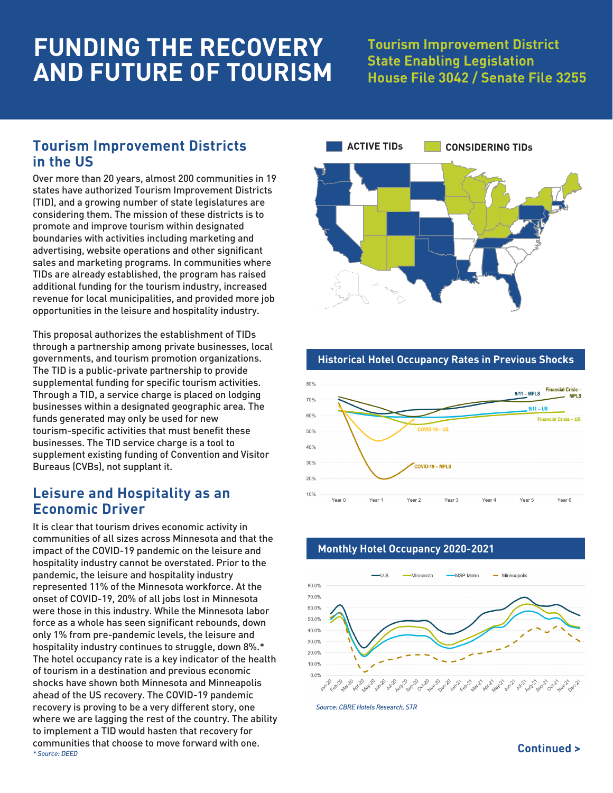# **FUNDING THE RECOVERY AND FUTURE OF TOURISM**

## **Tourism Improvement District State Enabling Legislation House File 3042 / Senate File 3255**

## **Tourism Improvement Districts in the US**

Over more than 20 years, almost 200 communities in 19 states have authorized Tourism Improvement Districts (TID), and a growing number of state legislatures are considering them. The mission of these districts is to promote and improve tourism within designated boundaries with activities including marketing and advertising, website operations and other significant sales and marketing programs. In communities where TIDs are already established, the program has raised additional funding for the tourism industry, increased revenue for local municipalities, and provided more job opportunities in the leisure and hospitality industry.

This proposal authorizes the establishment of TIDs through a partnership among private businesses, local governments, and tourism promotion organizations. The TID is a public-private partnership to provide supplemental funding for specific tourism activities. Through a TID, a service charge is placed on lodging businesses within a designated geographic area. The funds generated may only be used for new tourism-specific activities that must benefit these businesses. The TID service charge is a tool to supplement existing funding of Convention and Visitor Bureaus (CVBs), not supplant it.

### **Leisure and Hospitality as an Economic Driver**

*\* Source: DEED* It is clear that tourism drives economic activity in communities of all sizes across Minnesota and that the impact of the COVID-19 pandemic on the leisure and hospitality industry cannot be overstated. Prior to the pandemic, the leisure and hospitality industry represented 11% of the Minnesota workforce. At the onset of COVID-19, 20% of all jobs lost in Minnesota were those in this industry. While the Minnesota labor force as a whole has seen significant rebounds, down only 1% from pre-pandemic levels, the leisure and hospitality industry continues to struggle, down 8%.\* The hotel occupancy rate is a key indicator of the health of tourism in a destination and previous economic shocks have shown both Minnesota and Minneapolis ahead of the US recovery. The COVID-19 pandemic recovery is proving to be a very different story, one where we are lagging the rest of the country. The ability to implement a TID would hasten that recovery for communities that choose to move forward with one.



#### **Historical Hotel Occupancy Rates in Previous Shocks**



#### **Monthly Hotel Occupancy 2020-2021**



*Source: CBRE Hotels Research, STR*

**Continued >**